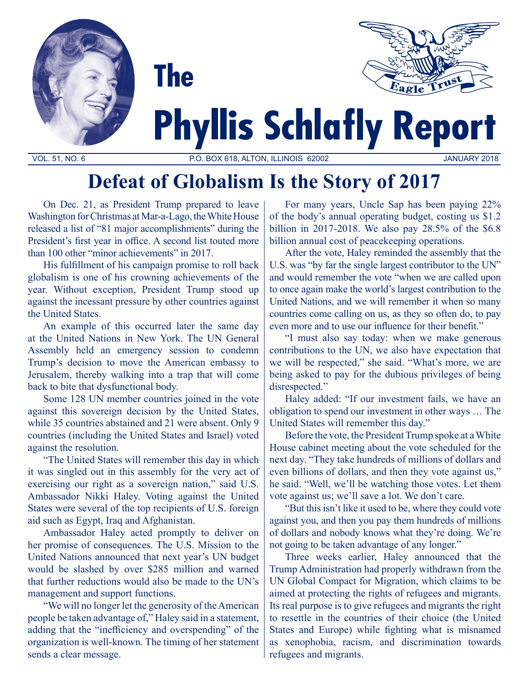



# **Phyllis Schlafly Report**

VOL. 51, NO. 6 P.O. BOX 618, ALTON, ILLINOIS 62002 JANUARY 2018

## **Defeat of Globalism Is the Story of 2017**

On Dec. 21, as President Trump prepared to leave Washington for Christmas at Mar-a-Lago, the White House released a list of "81 major accomplishments" during the President's first year in office. A second list touted more than 100 other "minor achievements" in 2017.

**The** 

His fulfillment of his campaign promise to roll back globalism is one of his crowning achievements of the year. Without exception, President Trump stood up against the incessant pressure by other countries against the United States.

An example of this occurred later the same day at the United Nations in New York. The UN General Assembly held an emergency session to condemn Trump's decision to move the American embassy to Jerusalem, thereby walking into a trap that will come back to bite that dysfunctional body.

Some 128 UN member countries joined in the vote against this sovereign decision by the United States, while 35 countries abstained and 21 were absent. Only 9 countries (including the United States and Israel) voted against the resolution.

"The United States will remember this day in which it was singled out in this assembly for the very act of exercising our right as a sovereign nation," said U.S. Ambassador Nikki Haley. Voting against the United States were several of the top recipients of U.S. foreign aid such as Egypt, Iraq and Afghanistan.

Ambassador Haley acted promptly to deliver on her promise of consequences. The U.S. Mission to the United Nations announced that next year's UN budget would be slashed by over \$285 million and warned that further reductions would also be made to the UN's management and support functions.

"We will no longer let the generosity of the American people be taken advantage of," Haley said in a statement, adding that the "inefficiency and overspending" of the organization is well-known. The timing of her statement sends a clear message.

For many years, Uncle Sap has been paying 22% of the body's annual operating budget, costing us \$1.2 billion in 2017-2018. We also pay 28.5% of the \$6.8 billion annual cost of peacekeeping operations.

After the vote, Haley reminded the assembly that the U.S. was "by far the single largest contributor to the UN" and would remember the vote "when we are called upon to once again make the world's largest contribution to the United Nations, and we will remember it when so many countries come calling on us, as they so often do, to pay even more and to use our influence for their benefit."

"I must also say today: when we make generous contributions to the UN, we also have expectation that we will be respected," she said. "What's more, we are being asked to pay for the dubious privileges of being disrespected."

Haley added: "If our investment fails, we have an obligation to spend our investment in other ways … The United States will remember this day."

Before the vote, the President Trump spoke at a White House cabinet meeting about the vote scheduled for the next day. "They take hundreds of millions of dollars and even billions of dollars, and then they vote against us," he said. "Well, we'll be watching those votes. Let them vote against us; we'll save a lot. We don't care.

"But this isn't like it used to be, where they could vote against you, and then you pay them hundreds of millions of dollars and nobody knows what they're doing. We're not going to be taken advantage of any longer."

Three weeks earlier, Haley announced that the Trump Administration had properly withdrawn from the UN Global Compact for Migration, which claims to be aimed at protecting the rights of refugees and migrants. Its real purpose is to give refugees and migrants the right to resettle in the countries of their choice (the United States and Europe) while fighting what is misnamed as xenophobia, racism, and discrimination towards refugees and migrants.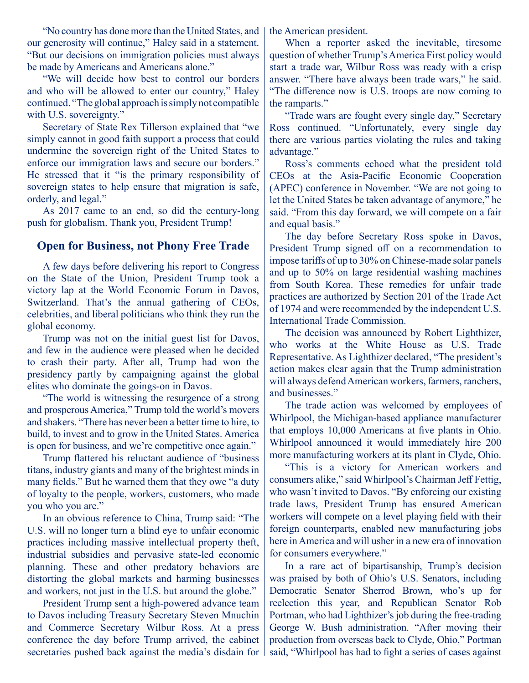"No country has done more than the United States, and our generosity will continue," Haley said in a statement. "But our decisions on immigration policies must always be made by Americans and Americans alone."

"We will decide how best to control our borders and who will be allowed to enter our country," Haley continued. "The global approach is simply not compatible with U.S. sovereignty."

Secretary of State Rex Tillerson explained that "we simply cannot in good faith support a process that could undermine the sovereign right of the United States to enforce our immigration laws and secure our borders." He stressed that it "is the primary responsibility of sovereign states to help ensure that migration is safe, orderly, and legal."

As 2017 came to an end, so did the century-long push for globalism. Thank you, President Trump!

### **Open for Business, not Phony Free Trade**

A few days before delivering his report to Congress on the State of the Union, President Trump took a victory lap at the World Economic Forum in Davos, Switzerland. That's the annual gathering of CEOs, celebrities, and liberal politicians who think they run the global economy.

Trump was not on the initial guest list for Davos, and few in the audience were pleased when he decided to crash their party. After all, Trump had won the presidency partly by campaigning against the global elites who dominate the goings-on in Davos.

"The world is witnessing the resurgence of a strong and prosperous America," Trump told the world's movers and shakers. "There has never been a better time to hire, to build, to invest and to grow in the United States. America is open for business, and we're competitive once again."

Trump flattered his reluctant audience of "business titans, industry giants and many of the brightest minds in many fields." But he warned them that they owe "a duty of loyalty to the people, workers, customers, who made you who you are."

In an obvious reference to China, Trump said: "The U.S. will no longer turn a blind eye to unfair economic practices including massive intellectual property theft, industrial subsidies and pervasive state-led economic planning. These and other predatory behaviors are distorting the global markets and harming businesses and workers, not just in the U.S. but around the globe."

President Trump sent a high-powered advance team to Davos including Treasury Secretary Steven Mnuchin and Commerce Secretary Wilbur Ross. At a press conference the day before Trump arrived, the cabinet secretaries pushed back against the media's disdain for the American president.

When a reporter asked the inevitable, tiresome question of whether Trump's America First policy would start a trade war, Wilbur Ross was ready with a crisp answer. "There have always been trade wars," he said. "The difference now is U.S. troops are now coming to the ramparts."

"Trade wars are fought every single day," Secretary Ross continued. "Unfortunately, every single day there are various parties violating the rules and taking advantage."

Ross's comments echoed what the president told CEOs at the Asia-Pacific Economic Cooperation (APEC) conference in November. "We are not going to let the United States be taken advantage of anymore," he said. "From this day forward, we will compete on a fair and equal basis."

The day before Secretary Ross spoke in Davos, President Trump signed off on a recommendation to impose tariffs of up to 30% on Chinese-made solar panels and up to 50% on large residential washing machines from South Korea. These remedies for unfair trade practices are authorized by Section 201 of the Trade Act of 1974 and were recommended by the independent U.S. International Trade Commission.

The decision was announced by Robert Lighthizer, who works at the White House as U.S. Trade Representative. As Lighthizer declared, "The president's action makes clear again that the Trump administration will always defend American workers, farmers, ranchers, and businesses."

The trade action was welcomed by employees of Whirlpool, the Michigan-based appliance manufacturer that employs 10,000 Americans at five plants in Ohio. Whirlpool announced it would immediately hire 200 more manufacturing workers at its plant in Clyde, Ohio.

"This is a victory for American workers and consumers alike," said Whirlpool's Chairman Jeff Fettig, who wasn't invited to Davos. "By enforcing our existing trade laws, President Trump has ensured American workers will compete on a level playing field with their foreign counterparts, enabled new manufacturing jobs here in America and will usher in a new era of innovation for consumers everywhere."

In a rare act of bipartisanship, Trump's decision was praised by both of Ohio's U.S. Senators, including Democratic Senator Sherrod Brown, who's up for reelection this year, and Republican Senator Rob Portman, who had Lighthizer's job during the free-trading George W. Bush administration. "After moving their production from overseas back to Clyde, Ohio," Portman said, "Whirlpool has had to fight a series of cases against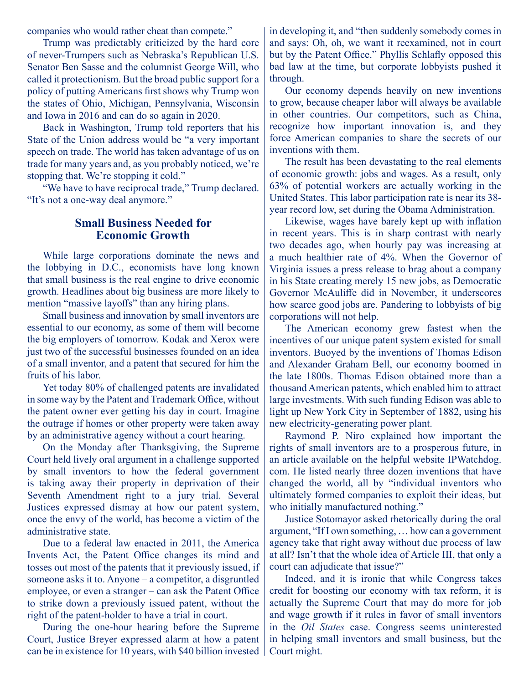companies who would rather cheat than compete."

Trump was predictably criticized by the hard core of never-Trumpers such as Nebraska's Republican U.S. Senator Ben Sasse and the columnist George Will, who called it protectionism. But the broad public support for a policy of putting Americans first shows why Trump won the states of Ohio, Michigan, Pennsylvania, Wisconsin and Iowa in 2016 and can do so again in 2020.

Back in Washington, Trump told reporters that his State of the Union address would be "a very important speech on trade. The world has taken advantage of us on trade for many years and, as you probably noticed, we're stopping that. We're stopping it cold."

"We have to have reciprocal trade," Trump declared. "It's not a one-way deal anymore."

#### **Small Business Needed for Economic Growth**

While large corporations dominate the news and the lobbying in D.C., economists have long known that small business is the real engine to drive economic growth. Headlines about big business are more likely to mention "massive layoffs" than any hiring plans.

Small business and innovation by small inventors are essential to our economy, as some of them will become the big employers of tomorrow. Kodak and Xerox were just two of the successful businesses founded on an idea of a small inventor, and a patent that secured for him the fruits of his labor.

Yet today 80% of challenged patents are invalidated in some way by the Patent and Trademark Office, without the patent owner ever getting his day in court. Imagine the outrage if homes or other property were taken away by an administrative agency without a court hearing.

On the Monday after Thanksgiving, the Supreme Court held lively oral argument in a challenge supported by small inventors to how the federal government is taking away their property in deprivation of their Seventh Amendment right to a jury trial. Several Justices expressed dismay at how our patent system, once the envy of the world, has become a victim of the administrative state.

Due to a federal law enacted in 2011, the America Invents Act, the Patent Office changes its mind and tosses out most of the patents that it previously issued, if someone asks it to. Anyone – a competitor, a disgruntled employee, or even a stranger – can ask the Patent Office to strike down a previously issued patent, without the right of the patent-holder to have a trial in court.

During the one-hour hearing before the Supreme Court, Justice Breyer expressed alarm at how a patent can be in existence for 10 years, with \$40 billion invested in developing it, and "then suddenly somebody comes in and says: Oh, oh, we want it reexamined, not in court but by the Patent Office." Phyllis Schlafly opposed this bad law at the time, but corporate lobbyists pushed it through.

Our economy depends heavily on new inventions to grow, because cheaper labor will always be available in other countries. Our competitors, such as China, recognize how important innovation is, and they force American companies to share the secrets of our inventions with them.

The result has been devastating to the real elements of economic growth: jobs and wages. As a result, only 63% of potential workers are actually working in the United States. This labor participation rate is near its 38 year record low, set during the Obama Administration.

Likewise, wages have barely kept up with inflation in recent years. This is in sharp contrast with nearly two decades ago, when hourly pay was increasing at a much healthier rate of 4%. When the Governor of Virginia issues a press release to brag about a company in his State creating merely 15 new jobs, as Democratic Governor McAuliffe did in November, it underscores how scarce good jobs are. Pandering to lobbyists of big corporations will not help.

The American economy grew fastest when the incentives of our unique patent system existed for small inventors. Buoyed by the inventions of Thomas Edison and Alexander Graham Bell, our economy boomed in the late 1800s. Thomas Edison obtained more than a thousand American patents, which enabled him to attract large investments. With such funding Edison was able to light up New York City in September of 1882, using his new electricity-generating power plant.

Raymond P. Niro explained how important the rights of small inventors are to a prosperous future, in an article available on the helpful website IPWatchdog. com. He listed nearly three dozen inventions that have changed the world, all by "individual inventors who ultimately formed companies to exploit their ideas, but who initially manufactured nothing."

Justice Sotomayor asked rhetorically during the oral argument, "If I own something, … how can a government agency take that right away without due process of law at all? Isn't that the whole idea of Article III, that only a court can adjudicate that issue?"

Indeed, and it is ironic that while Congress takes credit for boosting our economy with tax reform, it is actually the Supreme Court that may do more for job and wage growth if it rules in favor of small inventors in the *Oil States* case. Congress seems uninterested in helping small inventors and small business, but the Court might.